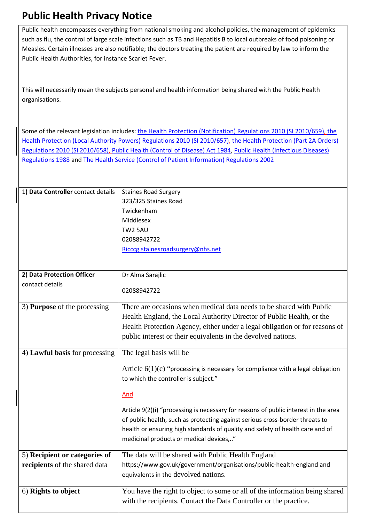## **Public Health Privacy Notice**

Public health encompasses everything from national smoking and alcohol policies, the management of epidemics such as flu, the control of large scale infections such as TB and Hepatitis B to local outbreaks of food poisoning or Measles. Certain illnesses are also notifiable; the doctors treating the patient are required by law to inform the Public Health Authorities, for instance Scarlet Fever.

This will necessarily mean the subjects personal and health information being shared with the Public Health organisations.

Some of the relevant legislation includes: the Health Protection (Notification) Regulations 2010 (SI 2010/659), the Health Protection (Local Authority Powers) Regulations 2010 (SI 2010/657), the Health Protection (Part 2A Orders) Regulations 2010 (SI 2010/658), Public Health (Control of Disease) Act 1984, Public Health (Infectious Diseases) Regulations 1988 and The Health Service (Control of Patient Information) Regulations 2002

| 1) Data Controller contact details | <b>Staines Road Surgery</b>                                                         |
|------------------------------------|-------------------------------------------------------------------------------------|
|                                    | 323/325 Staines Road                                                                |
|                                    | Twickenham                                                                          |
|                                    | Middlesex                                                                           |
|                                    | <b>TW2 5AU</b>                                                                      |
|                                    | 02088942722                                                                         |
|                                    | Ricccg.stainesroadsurgery@nhs.net                                                   |
|                                    |                                                                                     |
|                                    |                                                                                     |
| 2) Data Protection Officer         | Dr Alma Sarajlic                                                                    |
| contact details                    | 02088942722                                                                         |
|                                    |                                                                                     |
| 3) Purpose of the processing       | There are occasions when medical data needs to be shared with Public                |
|                                    | Health England, the Local Authority Director of Public Health, or the               |
|                                    | Health Protection Agency, either under a legal obligation or for reasons of         |
|                                    | public interest or their equivalents in the devolved nations.                       |
|                                    |                                                                                     |
| 4) Lawful basis for processing     | The legal basis will be                                                             |
|                                    |                                                                                     |
|                                    |                                                                                     |
|                                    | Article $6(1)(c)$ "processing is necessary for compliance with a legal obligation   |
|                                    | to which the controller is subject."                                                |
|                                    | And                                                                                 |
|                                    |                                                                                     |
|                                    | Article 9(2)(i) "processing is necessary for reasons of public interest in the area |
|                                    | of public health, such as protecting against serious cross-border threats to        |
|                                    | health or ensuring high standards of quality and safety of health care and of       |
|                                    | medicinal products or medical devices,"                                             |
|                                    |                                                                                     |
| 5) Recipient or categories of      | The data will be shared with Public Health England                                  |
| recipients of the shared data      | https://www.gov.uk/government/organisations/public-health-england and               |
|                                    | equivalents in the devolved nations.                                                |
| 6) Rights to object                | You have the right to object to some or all of the information being shared         |
|                                    | with the recipients. Contact the Data Controller or the practice.                   |